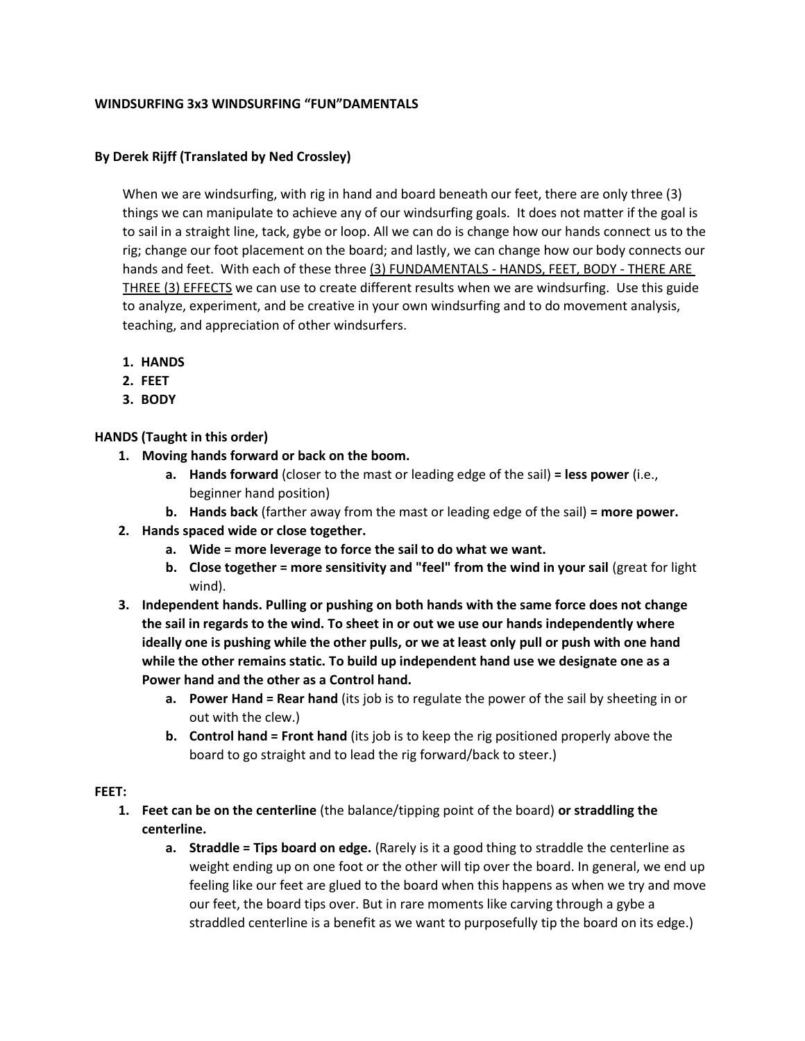#### **WINDSURFING 3x3 WINDSURFING "FUN"DAMENTALS**

#### **By Derek Rijff (Translated by Ned Crossley)**

When we are windsurfing, with rig in hand and board beneath our feet, there are only three (3) things we can manipulate to achieve any of our windsurfing goals. It does not matter if the goal is to sail in a straight line, tack, gybe or loop. All we can do is change how our hands connect us to the rig; change our foot placement on the board; and lastly, we can change how our body connects our hands and feet. With each of these three (3) FUNDAMENTALS - HANDS, FEET, BODY - THERE ARE THREE (3) EFFECTS we can use to create different results when we are windsurfing. Use this guide to analyze, experiment, and be creative in your own windsurfing and to do movement analysis, teaching, and appreciation of other windsurfers.

- **1. HANDS**
- **2. FEET**
- **3. BODY**

**HANDS (Taught in this order)**

- **1. Moving hands forward or back on the boom.** 
	- **a. Hands forward** (closer to the mast or leading edge of the sail) **= less power** (i.e., beginner hand position)
	- **b. Hands back** (farther away from the mast or leading edge of the sail) **= more power.**
- **2. Hands spaced wide or close together.** 
	- **a. Wide = more leverage to force the sail to do what we want.**
	- **b. Close together = more sensitivity and "feel" from the wind in your sail** (great for light wind).
- **3. Independent hands. Pulling or pushing on both hands with the same force does not change the sail in regards to the wind. To sheet in or out we use our hands independently where ideally one is pushing while the other pulls, or we at least only pull or push with one hand while the other remains static. To build up independent hand use we designate one as a Power hand and the other as a Control hand.** 
	- **a. Power Hand = Rear hand** (its job is to regulate the power of the sail by sheeting in or out with the clew.)
	- **b. Control hand = Front hand** (its job is to keep the rig positioned properly above the board to go straight and to lead the rig forward/back to steer.)

#### **FEET:**

- **1. Feet can be on the centerline** (the balance/tipping point of the board) **or straddling the centerline.** 
	- **a. Straddle = Tips board on edge.** (Rarely is it a good thing to straddle the centerline as weight ending up on one foot or the other will tip over the board. In general, we end up feeling like our feet are glued to the board when this happens as when we try and move our feet, the board tips over. But in rare moments like carving through a gybe a straddled centerline is a benefit as we want to purposefully tip the board on its edge.)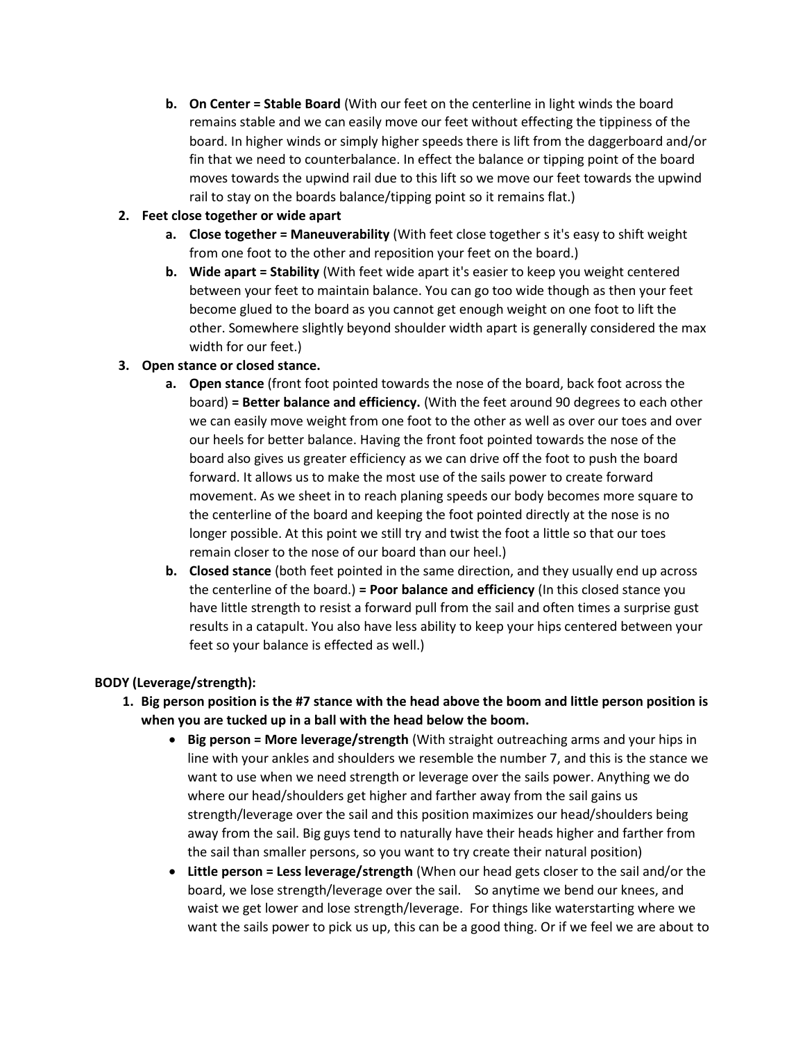**b. On Center = Stable Board** (With our feet on the centerline in light winds the board remains stable and we can easily move our feet without effecting the tippiness of the board. In higher winds or simply higher speeds there is lift from the daggerboard and/or fin that we need to counterbalance. In effect the balance or tipping point of the board moves towards the upwind rail due to this lift so we move our feet towards the upwind rail to stay on the boards balance/tipping point so it remains flat.)

# **2. Feet close together or wide apart**

- **a. Close together = Maneuverability** (With feet close together s it's easy to shift weight from one foot to the other and reposition your feet on the board.)
- **b. Wide apart = Stability** (With feet wide apart it's easier to keep you weight centered between your feet to maintain balance. You can go too wide though as then your feet become glued to the board as you cannot get enough weight on one foot to lift the other. Somewhere slightly beyond shoulder width apart is generally considered the max width for our feet.)

# **3. Open stance or closed stance.**

- **a. Open stance** (front foot pointed towards the nose of the board, back foot across the board) **= Better balance and efficiency.** (With the feet around 90 degrees to each other we can easily move weight from one foot to the other as well as over our toes and over our heels for better balance. Having the front foot pointed towards the nose of the board also gives us greater efficiency as we can drive off the foot to push the board forward. It allows us to make the most use of the sails power to create forward movement. As we sheet in to reach planing speeds our body becomes more square to the centerline of the board and keeping the foot pointed directly at the nose is no longer possible. At this point we still try and twist the foot a little so that our toes remain closer to the nose of our board than our heel.)
- **b. Closed stance** (both feet pointed in the same direction, and they usually end up across the centerline of the board.) **= Poor balance and efficiency** (In this closed stance you have little strength to resist a forward pull from the sail and often times a surprise gust results in a catapult. You also have less ability to keep your hips centered between your feet so your balance is effected as well.)

# **BODY (Leverage/strength):**

- **1. Big person position is the #7 stance with the head above the boom and little person position is when you are tucked up in a ball with the head below the boom.**
	- **Big person = More leverage/strength** (With straight outreaching arms and your hips in line with your ankles and shoulders we resemble the number 7, and this is the stance we want to use when we need strength or leverage over the sails power. Anything we do where our head/shoulders get higher and farther away from the sail gains us strength/leverage over the sail and this position maximizes our head/shoulders being away from the sail. Big guys tend to naturally have their heads higher and farther from the sail than smaller persons, so you want to try create their natural position)
	- **Little person = Less leverage/strength** (When our head gets closer to the sail and/or the board, we lose strength/leverage over the sail. So anytime we bend our knees, and waist we get lower and lose strength/leverage. For things like waterstarting where we want the sails power to pick us up, this can be a good thing. Or if we feel we are about to